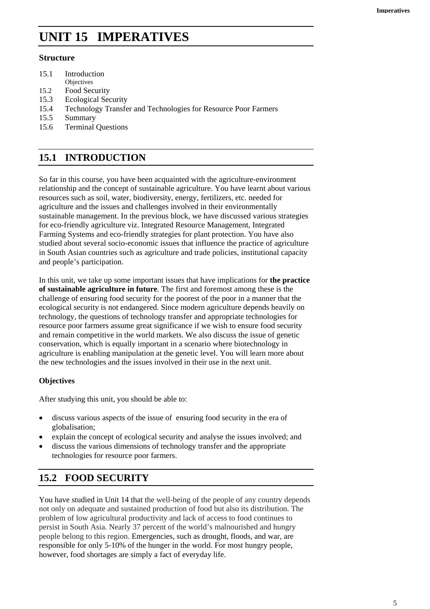# **UNIT 15 IMPERATIVES**

### **Structure**

- 15.1 Introduction
- **Objectives**
- 15.2 Food Security 15.3 Ecological Security
- 
- 15.4 Technology Transfer and Technologies for Resource Poor Farmers
- 15.5 Summary
- 15.6 Terminal Questions

# **15.1 INTRODUCTION**

So far in this course, you have been acquainted with the agriculture-environment relationship and the concept of sustainable agriculture. You have learnt about various resources such as soil, water, biodiversity, energy, fertilizers, etc. needed for agriculture and the issues and challenges involved in their environmentally sustainable management. In the previous block, we have discussed various strategies for eco-friendly agriculture viz. Integrated Resource Management, Integrated Farming Systems and eco-friendly strategies for plant protection. You have also studied about several socio-economic issues that influence the practice of agriculture in South Asian countries such as agriculture and trade policies, institutional capacity and people's participation.

In this unit, we take up some important issues that have implications for **the practice of sustainable agriculture in future**. The first and foremost among these is the challenge of ensuring food security for the poorest of the poor in a manner that the ecological security is not endangered. Since modern agriculture depends heavily on technology, the questions of technology transfer and appropriate technologies for resource poor farmers assume great significance if we wish to ensure food security and remain competitive in the world markets. We also discuss the issue of genetic conservation, which is equally important in a scenario where biotechnology in agriculture is enabling manipulation at the genetic level. You will learn more about the new technologies and the issues involved in their use in the next unit.

### **Objectives**

After studying this unit, you should be able to:

- discuss various aspects of the issue of ensuring food security in the era of globalisation;
- explain the concept of ecological security and analyse the issues involved; and
- discuss the various dimensions of technology transfer and the appropriate technologies for resource poor farmers.

# **15.2 FOOD SECURITY**

You have studied in Unit 14 that the well-being of the people of any country depends not only on adequate and sustained production of food but also its distribution. The problem of low agricultural productivity and lack of access to food continues to persist in South Asia. Nearly 37 percent of the world's malnourished and hungry people belong to this region. Emergencies, such as drought, floods, and war, are responsible for only 5-10% of the hunger in the world. For most hungry people, however, food shortages are simply a fact of everyday life.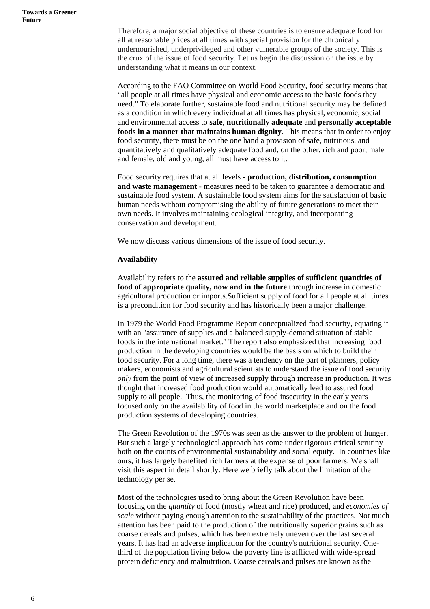Therefore, a major social objective of these countries is to ensure adequate food for all at reasonable prices at all times with special provision for the chronically undernourished, underprivileged and other vulnerable groups of the society. This is the crux of the issue of food security. Let us begin the discussion on the issue by understanding what it means in our context.

According to the FAO Committee on World Food Security, food security means that "all people at all times have physical and economic access to the basic foods they need." To elaborate further, sustainable food and nutritional security may be defined as a condition in which every individual at all times has physical, economic, social and environmental access to **safe**, **nutritionally adequate** and **personally acceptable foods in a manner that maintains human dignity**. This means that in order to enjoy food security, there must be on the one hand a provision of safe, nutritious, and quantitatively and qualitatively adequate food and, on the other, rich and poor, male and female, old and young, all must have access to it.

Food security requires that at all levels **- production, distribution, consumption and waste management** - measures need to be taken to guarantee a democratic and sustainable food system. A sustainable food system aims for the satisfaction of basic human needs without compromising the ability of future generations to meet their own needs. It involves maintaining ecological integrity, and incorporating conservation and development.

We now discuss various dimensions of the issue of food security.

#### **Availability**

Availability refers to the **assured and reliable supplies of sufficient quantities of food of appropriate quality, now and in the future** through increase in domestic agricultural production or imports.Sufficient supply of food for all people at all times is a precondition for food security and has historically been a major challenge.

In 1979 the World Food Programme Report conceptualized food security, equating it with an "assurance of supplies and a balanced supply-demand situation of stable foods in the international market." The report also emphasized that increasing food production in the developing countries would be the basis on which to build their food security. For a long time, there was a tendency on the part of planners, policy makers, economists and agricultural scientists to understand the issue of food security *only* from the point of view of increased supply through increase in production. It was thought that increased food production would automatically lead to assured food supply to all people. Thus, the monitoring of food insecurity in the early years focused only on the availability of food in the world marketplace and on the food production systems of developing countries.

The Green Revolution of the 1970s was seen as the answer to the problem of hunger. But such a largely technological approach has come under rigorous critical scrutiny both on the counts of environmental sustainability and social equity. In countries like ours, it has largely benefited rich farmers at the expense of poor farmers. We shall visit this aspect in detail shortly. Here we briefly talk about the limitation of the technology per se.

Most of the technologies used to bring about the Green Revolution have been focusing on the *quantity* of food (mostly wheat and rice) produced, and *economies of scale* without paying enough attention to the sustainability of the practices. Not much attention has been paid to the production of the nutritionally superior grains such as coarse cereals and pulses, which has been extremely uneven over the last several years. It has had an adverse implication for the country's nutritional security. Onethird of the population living below the poverty line is afflicted with wide-spread protein deficiency and malnutrition. Coarse cereals and pulses are known as the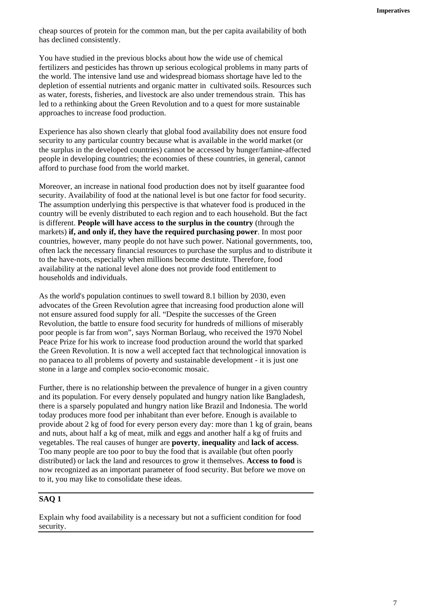cheap sources of protein for the common man, but the per capita availability of both has declined consistently.

You have studied in the previous blocks about how the wide use of chemical fertilizers and pesticides has thrown up serious ecological problems in many parts of the world. The intensive land use and widespread biomass shortage have led to the depletion of essential nutrients and organic matter in cultivated soils. Resources such as water, forests, fisheries, and livestock are also under tremendous strain. This has led to a rethinking about the Green Revolution and to a quest for more sustainable approaches to increase food production.

Experience has also shown clearly that global food availability does not ensure food security to any particular country because what is available in the world market (or the surplus in the developed countries) cannot be accessed by hunger/famine-affected people in developing countries; the economies of these countries, in general, cannot afford to purchase food from the world market.

Moreover, an increase in national food production does not by itself guarantee food security. Availability of food at the national level is but one factor for food security. The assumption underlying this perspective is that whatever food is produced in the country will be evenly distributed to each region and to each household. But the fact is different. **People will have access to the surplus in the country** (through the markets) **if, and only if, they have the required purchasing power**. In most poor countries, however, many people do not have such power. National governments, too, often lack the necessary financial resources to purchase the surplus and to distribute it to the have-nots, especially when millions become destitute. Therefore, food availability at the national level alone does not provide food entitlement to households and individuals.

As the world's population continues to swell toward 8.1 billion by 2030, even advocates of the Green Revolution agree that increasing food production alone will not ensure assured food supply for all. "Despite the successes of the Green Revolution, the battle to ensure food security for hundreds of millions of miserably poor people is far from won", says Norman Borlaug, who received the 1970 Nobel Peace Prize for his work to increase food production around the world that sparked the Green Revolution. It is now a well accepted fact that technological innovation is no panacea to all problems of poverty and sustainable development - it is just one stone in a large and complex socio-economic mosaic.

Further, there is no relationship between the prevalence of hunger in a given country and its population. For every densely populated and hungry nation like Bangladesh, there is a sparsely populated and hungry nation like Brazil and Indonesia. The world today produces more food per inhabitant than ever before. Enough is available to provide about 2 kg of food for every person every day: more than 1 kg of grain, beans and nuts, about half a kg of meat, milk and eggs and another half a kg of fruits and vegetables. The real causes of hunger are **poverty**, **inequality** and **lack of access**. Too many people are too poor to buy the food that is available (but often poorly distributed) or lack the land and resources to grow it themselves. **Access to food** is now recognized as an important parameter of food security. But before we move on to it, you may like to consolidate these ideas.

### **SAQ 1**

Explain why food availability is a necessary but not a sufficient condition for food security.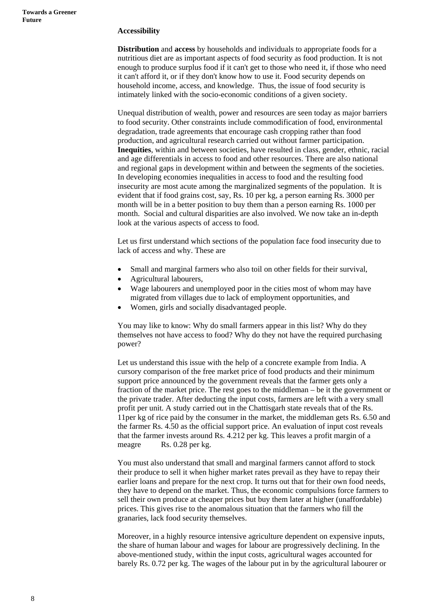#### **Accessibility**

**Distribution** and **access** by households and individuals to appropriate foods for a nutritious diet are as important aspects of food security as food production. It is not enough to produce surplus food if it can't get to those who need it, if those who need it can't afford it, or if they don't know how to use it. Food security depends on household income, access, and knowledge. Thus, the issue of food security is intimately linked with the socio-economic conditions of a given society.

Unequal distribution of wealth, power and resources are seen today as major barriers to food security. Other constraints include commodification of food, environmental degradation, trade agreements that encourage cash cropping rather than food production, and agricultural research carried out without farmer participation. **Inequities**, within and between societies, have resulted in class, gender, ethnic, racial and age differentials in access to food and other resources. There are also national and regional gaps in development within and between the segments of the societies. In developing economies inequalities in access to food and the resulting food insecurity are most acute among the marginalized segments of the population. It is evident that if food grains cost, say, Rs. 10 per kg, a person earning Rs. 3000 per month will be in a better position to buy them than a person earning Rs. 1000 per month. Social and cultural disparities are also involved. We now take an in-depth look at the various aspects of access to food.

Let us first understand which sections of the population face food insecurity due to lack of access and why. These are

- Small and marginal farmers who also toil on other fields for their survival,
- Agricultural labourers,
- Wage labourers and unemployed poor in the cities most of whom may have migrated from villages due to lack of employment opportunities, and
- Women, girls and socially disadvantaged people.

You may like to know: Why do small farmers appear in this list? Why do they themselves not have access to food? Why do they not have the required purchasing power?

Let us understand this issue with the help of a concrete example from India. A cursory comparison of the free market price of food products and their minimum support price announced by the government reveals that the farmer gets only a fraction of the market price. The rest goes to the middleman – be it the government or the private trader. After deducting the input costs, farmers are left with a very small profit per unit. A study carried out in the Chattisgarh state reveals that of the Rs. 11per kg of rice paid by the consumer in the market, the middleman gets Rs. 6.50 and the farmer Rs. 4.50 as the official support price. An evaluation of input cost reveals that the farmer invests around Rs. 4.212 per kg. This leaves a profit margin of a meagre Rs. 0.28 per kg.

You must also understand that small and marginal farmers cannot afford to stock their produce to sell it when higher market rates prevail as they have to repay their earlier loans and prepare for the next crop. It turns out that for their own food needs, they have to depend on the market. Thus, the economic compulsions force farmers to sell their own produce at cheaper prices but buy them later at higher (unaffordable) prices. This gives rise to the anomalous situation that the farmers who fill the granaries, lack food security themselves.

Moreover, in a highly resource intensive agriculture dependent on expensive inputs, the share of human labour and wages for labour are progressively declining. In the above-mentioned study, within the input costs, agricultural wages accounted for barely Rs. 0.72 per kg. The wages of the labour put in by the agricultural labourer or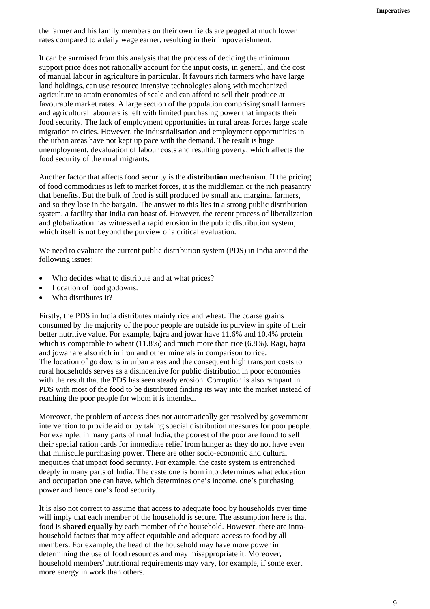the farmer and his family members on their own fields are pegged at much lower rates compared to a daily wage earner, resulting in their impoverishment.

It can be surmised from this analysis that the process of deciding the minimum support price does not rationally account for the input costs, in general, and the cost of manual labour in agriculture in particular. It favours rich farmers who have large land holdings, can use resource intensive technologies along with mechanized agriculture to attain economies of scale and can afford to sell their produce at favourable market rates. A large section of the population comprising small farmers and agricultural labourers is left with limited purchasing power that impacts their food security. The lack of employment opportunities in rural areas forces large scale migration to cities. However, the industrialisation and employment opportunities in the urban areas have not kept up pace with the demand. The result is huge unemployment, devaluation of labour costs and resulting poverty, which affects the food security of the rural migrants.

Another factor that affects food security is the **distribution** mechanism. If the pricing of food commodities is left to market forces, it is the middleman or the rich peasantry that benefits. But the bulk of food is still produced by small and marginal farmers, and so they lose in the bargain. The answer to this lies in a strong public distribution system, a facility that India can boast of. However, the recent process of liberalization and globalization has witnessed a rapid erosion in the public distribution system, which itself is not beyond the purview of a critical evaluation.

We need to evaluate the current public distribution system (PDS) in India around the following issues:

- Who decides what to distribute and at what prices?
- Location of food godowns.
- Who distributes it?

Firstly, the PDS in India distributes mainly rice and wheat. The coarse grains consumed by the majority of the poor people are outside its purview in spite of their better nutritive value. For example, bajra and jowar have 11.6% and 10.4% protein which is comparable to wheat  $(11.8\%)$  and much more than rice  $(6.8\%)$ . Ragi, bajra and jowar are also rich in iron and other minerals in comparison to rice. The location of go downs in urban areas and the consequent high transport costs to rural households serves as a disincentive for public distribution in poor economies with the result that the PDS has seen steady erosion. Corruption is also rampant in PDS with most of the food to be distributed finding its way into the market instead of reaching the poor people for whom it is intended.

Moreover, the problem of access does not automatically get resolved by government intervention to provide aid or by taking special distribution measures for poor people. For example, in many parts of rural India, the poorest of the poor are found to sell their special ration cards for immediate relief from hunger as they do not have even that miniscule purchasing power. There are other socio-economic and cultural inequities that impact food security. For example, the caste system is entrenched deeply in many parts of India. The caste one is born into determines what education and occupation one can have, which determines one's income, one's purchasing power and hence one's food security.

It is also not correct to assume that access to adequate food by households over time will imply that each member of the household is secure. The assumption here is that food is **shared equally** by each member of the household. However, there are intrahousehold factors that may affect equitable and adequate access to food by all members. For example, the head of the household may have more power in determining the use of food resources and may misappropriate it. Moreover, household members' nutritional requirements may vary, for example, if some exert more energy in work than others.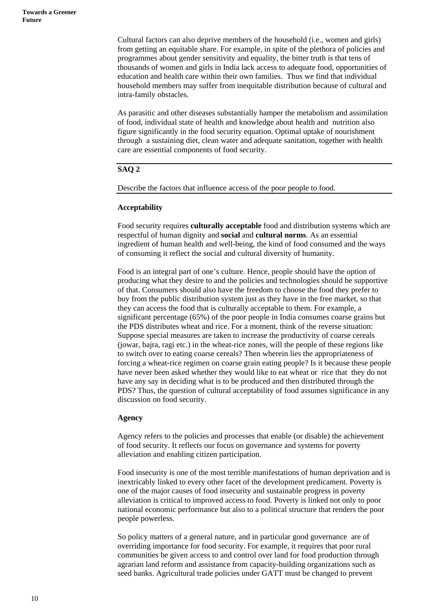Cultural factors can also deprive members of the household (i.e., women and girls) from getting an equitable share. For example, in spite of the plethora of policies and programmes about gender sensitivity and equality, the bitter truth is that tens of thousands of women and girls in India lack access to adequate food, opportunities of education and health care within their own families. Thus we find that individual household members may suffer from inequitable distribution because of cultural and intra-family obstacles.

As parasitic and other diseases substantially hamper the metabolism and assimilation of food, individual state of health and knowledge about health and nutrition also figure significantly in the food security equation. Optimal uptake of nourishment through a sustaining diet, clean water and adequate sanitation, together with health care are essential components of food security.

### **SAQ 2**

Describe the factors that influence access of the poor people to food.

#### **Acceptability**

Food security requires **culturally acceptable** food and distribution systems which are respectful of human dignity and **social** and **cultural norms**. As an essential ingredient of human health and well-being, the kind of food consumed and the ways of consuming it reflect the social and cultural diversity of humanity.

Food is an integral part of one's culture. Hence, people should have the option of producing what they desire to and the policies and technologies should be supportive of that. Consumers should also have the freedom to choose the food they prefer to buy from the public distribution system just as they have in the free market, so that they can access the food that is culturally acceptable to them. For example, a significant percentage (65%) of the poor people in India consumes coarse grains but the PDS distributes wheat and rice. For a moment, think of the reverse situation: Suppose special measures are taken to increase the productivity of coarse cereals (jowar, bajra, ragi etc.) in the wheat-rice zones, will the people of these regions like to switch over to eating coarse cereals? Then wherein lies the appropriateness of forcing a wheat-rice regimen on coarse grain eating people? Is it because these people have never been asked whether they would like to eat wheat or rice that they do not have any say in deciding what is to be produced and then distributed through the PDS? Thus, the question of cultural acceptability of food assumes significance in any discussion on food security.

#### **Agency**

Agency refers to the policies and processes that enable (or disable) the achievement of food security. It reflects our focus on governance and systems for poverty alleviation and enabling citizen participation.

Food insecurity is one of the most terrible manifestations of human deprivation and is inextricably linked to every other facet of the development predicament. Poverty is one of the major causes of food insecurity and sustainable progress in poverty alleviation is critical to improved access to food. Poverty is linked not only to poor national economic performance but also to a political structure that renders the poor people powerless.

So policy matters of a general nature, and in particular good governance are of overriding importance for food security. For example, it requires that poor rural communities be given access to and control over land for food production through agrarian land reform and assistance from capacity-building organizations such as seed banks. Agricultural trade policies under GATT must be changed to prevent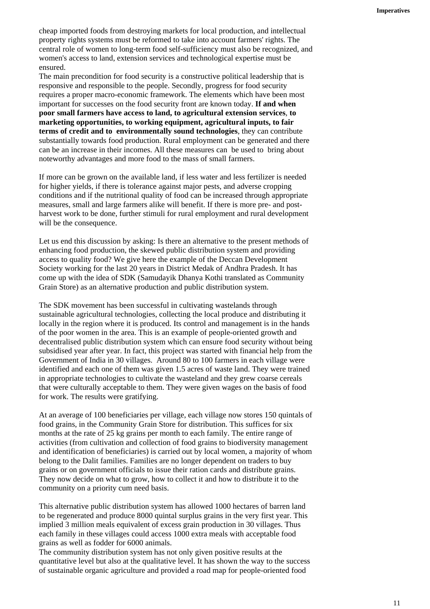cheap imported foods from destroying markets for local production, and intellectual property rights systems must be reformed to take into account farmers' rights. The central role of women to long-term food self-sufficiency must also be recognized, and women's access to land, extension services and technological expertise must be ensured.

The main precondition for food security is a constructive political leadership that is responsive and responsible to the people. Secondly, progress for food security requires a proper macro-economic framework. The elements which have been most important for successes on the food security front are known today. **If and when poor small farmers have access to land, to agricultural extension services**, **to marketing opportunities, to working equipment, agricultural inputs, to fair terms of credit and to environmentally sound technologies**, they can contribute substantially towards food production. Rural employment can be generated and there can be an increase in their incomes. All these measures can be used to bring about noteworthy advantages and more food to the mass of small farmers.

If more can be grown on the available land, if less water and less fertilizer is needed for higher yields, if there is tolerance against major pests, and adverse cropping conditions and if the nutritional quality of food can be increased through appropriate measures, small and large farmers alike will benefit. If there is more pre- and postharvest work to be done, further stimuli for rural employment and rural development will be the consequence.

Let us end this discussion by asking: Is there an alternative to the present methods of enhancing food production, the skewed public distribution system and providing access to quality food? We give here the example of the Deccan Development Society working for the last 20 years in District Medak of Andhra Pradesh. It has come up with the idea of SDK (Samudayik Dhanya Kothi translated as Community Grain Store) as an alternative production and public distribution system.

The SDK movement has been successful in cultivating wastelands through sustainable agricultural technologies, collecting the local produce and distributing it locally in the region where it is produced. Its control and management is in the hands of the poor women in the area. This is an example of people-oriented growth and decentralised public distribution system which can ensure food security without being subsidised year after year. In fact, this project was started with financial help from the Government of India in 30 villages. Around 80 to 100 farmers in each village were identified and each one of them was given 1.5 acres of waste land. They were trained in appropriate technologies to cultivate the wasteland and they grew coarse cereals that were culturally acceptable to them. They were given wages on the basis of food for work. The results were gratifying.

At an average of 100 beneficiaries per village, each village now stores 150 quintals of food grains, in the Community Grain Store for distribution. This suffices for six months at the rate of 25 kg grains per month to each family. The entire range of activities (from cultivation and collection of food grains to biodiversity management and identification of beneficiaries) is carried out by local women, a majority of whom belong to the Dalit families. Families are no longer dependent on traders to buy grains or on government officials to issue their ration cards and distribute grains. They now decide on what to grow, how to collect it and how to distribute it to the community on a priority cum need basis.

This alternative public distribution system has allowed 1000 hectares of barren land to be regenerated and produce 8000 quintal surplus grains in the very first year. This implied 3 million meals equivalent of excess grain production in 30 villages. Thus each family in these villages could access 1000 extra meals with acceptable food grains as well as fodder for 6000 animals.

The community distribution system has not only given positive results at the quantitative level but also at the qualitative level. It has shown the way to the success of sustainable organic agriculture and provided a road map for people-oriented food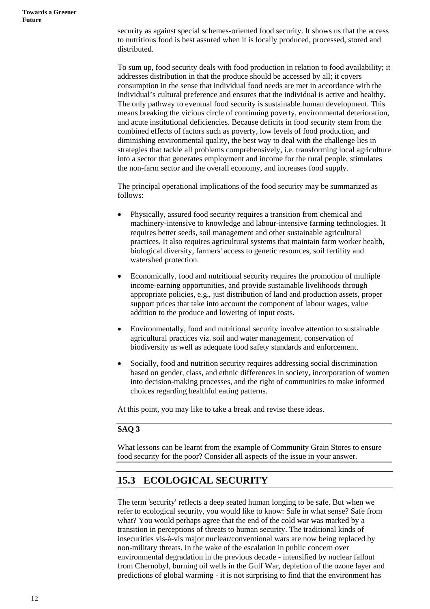security as against special schemes-oriented food security. It shows us that the access to nutritious food is best assured when it is locally produced, processed, stored and distributed.

To sum up, food security deals with food production in relation to food availability; it addresses distribution in that the produce should be accessed by all; it covers consumption in the sense that individual food needs are met in accordance with the individual's cultural preference and ensures that the individual is active and healthy. The only pathway to eventual food security is sustainable human development. This means breaking the vicious circle of continuing poverty, environmental deterioration, and acute institutional deficiencies. Because deficits in food security stem from the combined effects of factors such as poverty, low levels of food production, and diminishing environmental quality, the best way to deal with the challenge lies in strategies that tackle all problems comprehensively, i.e. transforming local agriculture into a sector that generates employment and income for the rural people, stimulates the non-farm sector and the overall economy, and increases food supply.

The principal operational implications of the food security may be summarized as follows:

- Physically, assured food security requires a transition from chemical and machinery-intensive to knowledge and labour-intensive farming technologies. It requires better seeds, soil management and other sustainable agricultural practices. It also requires agricultural systems that maintain farm worker health, biological diversity, farmers' access to genetic resources, soil fertility and watershed protection.
- Economically, food and nutritional security requires the promotion of multiple income-earning opportunities, and provide sustainable livelihoods through appropriate policies, e.g., just distribution of land and production assets, proper support prices that take into account the component of labour wages, value addition to the produce and lowering of input costs.
- Environmentally, food and nutritional security involve attention to sustainable agricultural practices viz. soil and water management, conservation of biodiversity as well as adequate food safety standards and enforcement.
- Socially, food and nutrition security requires addressing social discrimination based on gender, class, and ethnic differences in society, incorporation of women into decision-making processes, and the right of communities to make informed choices regarding healthful eating patterns.

At this point, you may like to take a break and revise these ideas.

### **SAQ 3**

What lessons can be learnt from the example of Community Grain Stores to ensure food security for the poor? Consider all aspects of the issue in your answer.

# **15.3 ECOLOGICAL SECURITY**

The term 'security' reflects a deep seated human longing to be safe. But when we refer to ecological security, you would like to know: Safe in what sense? Safe from what? You would perhaps agree that the end of the cold war was marked by a transition in perceptions of threats to human security. The traditional kinds of insecurities vis-à-vis major nuclear/conventional wars are now being replaced by non-military threats. In the wake of the escalation in public concern over environmental degradation in the previous decade - intensified by nuclear fallout from Chernobyl, burning oil wells in the Gulf War, depletion of the ozone layer and predictions of global warming - it is not surprising to find that the environment has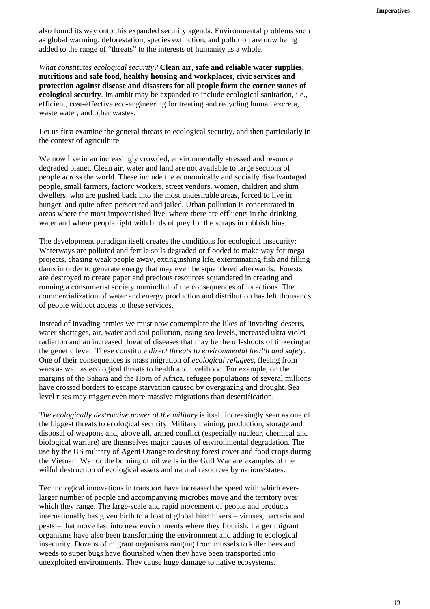also found its way onto this expanded security agenda. Environmental problems such as global warming, deforestation, species extinction, and pollution are now being added to the range of "threats" to the interests of humanity as a whole.

*What constitutes ecological security?* **Clean air, safe and reliable water supplies, nutritious and safe food, healthy housing and workplaces, civic services and protection against disease and disasters for all people form the corner stones of ecological security**. Its ambit may be expanded to include ecological sanitation, i.e., efficient, cost-effective eco-engineering for treating and recycling human excreta, waste water, and other wastes.

Let us first examine the general threats to ecological security, and then particularly in the context of agriculture.

We now live in an increasingly crowded, environmentally stressed and resource degraded planet. Clean air, water and land are not available to large sections of people across the world. These include the economically and socially disadvantaged people, small farmers, factory workers, street vendors, women, children and slum dwellers, who are pushed back into the most undesirable areas, forced to live in hunger, and quite often persecuted and jailed. Urban pollution is concentrated in areas where the most impoverished live, where there are effluents in the drinking water and where people fight with birds of prey for the scraps in rubbish bins.

The development paradigm itself creates the conditions for ecological insecurity: Waterways are polluted and fertile soils degraded or flooded to make way for mega projects, chasing weak people away, extinguishing life, exterminating fish and filling dams in order to generate energy that may even be squandered afterwards. Forests are destroyed to create paper and precious resources squandered in creating and running a consumerist society unmindful of the consequences of its actions. The commercialization of water and energy production and distribution has left thousands of people without access to these services.

Instead of invading armies we must now contemplate the likes of 'invading' deserts, water shortages, air, water and soil pollution, rising sea levels, increased ultra violet radiation and an increased threat of diseases that may be the off-shoots of tinkering at the genetic level. These constitute *direct threats to environmental health and safety*. One of their consequences is mass migration of *ecological refugees*, fleeing from wars as well as ecological threats to health and livelihood. For example, on the margins of the Sahara and the Horn of Africa, refugee populations of several millions have crossed borders to escape starvation caused by overgrazing and drought. Sea level rises may trigger even more massive migrations than desertification.

*The ecologically destructive power of the military* is itself increasingly seen as one of the biggest threats to ecological security. Military training, production, storage and disposal of weapons and, above all, armed conflict (especially nuclear, chemical and biological warfare) are themselves major causes of environmental degradation. The use by the US military of Agent Orange to destroy forest cover and food crops during the Vietnam War or the burning of oil wells in the Gulf War are examples of the wilful destruction of ecological assets and natural resources by nations/states.

Technological innovations in transport have increased the speed with which everlarger number of people and accompanying microbes move and the territory over which they range. The large-scale and rapid movement of people and products internationally has given birth to a host of global hitchhikers − viruses, bacteria and pests − that move fast into new environments where they flourish. Larger migrant organisms have also been transforming the environment and adding to ecological insecurity. Dozens of migrant organisms ranging from mussels to killer bees and weeds to super bugs have flourished when they have been transported into unexploited environments. They cause huge damage to native ecosystems.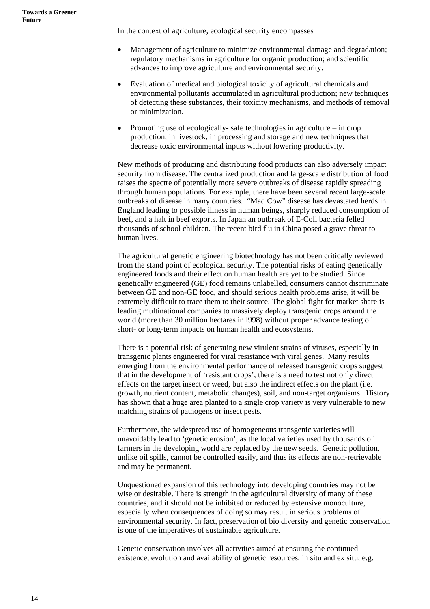In the context of agriculture, ecological security encompasses

- Management of agriculture to minimize environmental damage and degradation; regulatory mechanisms in agriculture for organic production; and scientific advances to improve agriculture and environmental security.
- Evaluation of medical and biological toxicity of agricultural chemicals and environmental pollutants accumulated in agricultural production; new techniques of detecting these substances, their toxicity mechanisms, and methods of removal or minimization.
- Promoting use of ecologically- safe technologies in agriculture − in crop production, in livestock, in processing and storage and new techniques that decrease toxic environmental inputs without lowering productivity.

New methods of producing and distributing food products can also adversely impact security from disease. The centralized production and large-scale distribution of food raises the spectre of potentially more severe outbreaks of disease rapidly spreading through human populations. For example, there have been several recent large-scale outbreaks of disease in many countries. "Mad Cow" disease has devastated herds in England leading to possible illness in human beings, sharply reduced consumption of beef, and a halt in beef exports. In Japan an outbreak of E-Coli bacteria felled thousands of school children. The recent bird flu in China posed a grave threat to human lives.

The agricultural genetic engineering biotechnology has not been critically reviewed from the stand point of ecological security. The potential risks of eating genetically engineered foods and their effect on human health are yet to be studied. Since genetically engineered (GE) food remains unlabelled, consumers cannot discriminate between GE and non-GE food, and should serious health problems arise, it will be extremely difficult to trace them to their source. The global fight for market share is leading multinational companies to massively deploy transgenic crops around the world (more than 30 million hectares in l998) without proper advance testing of short- or long-term impacts on human health and ecosystems.

There is a potential risk of generating new virulent strains of viruses, especially in transgenic plants engineered for viral resistance with viral genes. Many results emerging from the environmental performance of released transgenic crops suggest that in the development of 'resistant crops', there is a need to test not only direct effects on the target insect or weed, but also the indirect effects on the plant (i.e. growth, nutrient content, metabolic changes), soil, and non-target organisms. History has shown that a huge area planted to a single crop variety is very vulnerable to new matching strains of pathogens or insect pests.

Furthermore, the widespread use of homogeneous transgenic varieties will unavoidably lead to 'genetic erosion', as the local varieties used by thousands of farmers in the developing world are replaced by the new seeds. Genetic pollution, unlike oil spills, cannot be controlled easily, and thus its effects are non-retrievable and may be permanent.

Unquestioned expansion of this technology into developing countries may not be wise or desirable. There is strength in the agricultural diversity of many of these countries, and it should not be inhibited or reduced by extensive monoculture, especially when consequences of doing so may result in serious problems of environmental security. In fact, preservation of bio diversity and genetic conservation is one of the imperatives of sustainable agriculture.

Genetic conservation involves all activities aimed at ensuring the continued existence, evolution and availability of genetic resources, in situ and ex situ, e.g.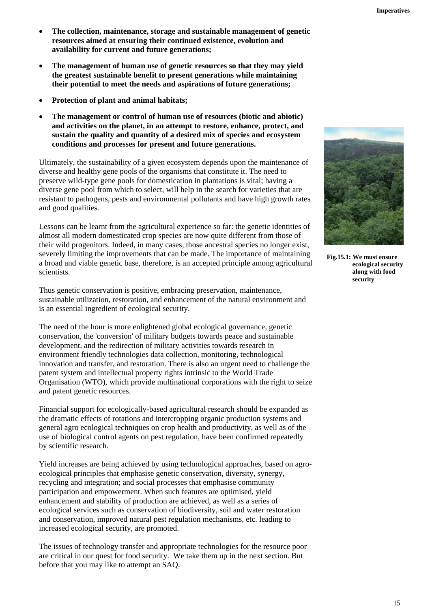- **The collection, maintenance, storage and sustainable management of genetic resources aimed at ensuring their continued existence, evolution and availability for current and future generations;**
- **The management of human use of genetic resources so that they may yield the greatest sustainable benefit to present generations while maintaining their potential to meet the needs and aspirations of future generations;**
- **Protection of plant and animal habitats;**
- **The management or control of human use of resources (biotic and abiotic) and activities on the planet, in an attempt to restore, enhance, protect, and sustain the quality and quantity of a desired mix of species and ecosystem conditions and processes for present and future generations.**

Ultimately, the sustainability of a given ecosystem depends upon the maintenance of diverse and healthy gene pools of the organisms that constitute it. The need to preserve wild-type gene pools for domestication in plantations is vital; having a diverse gene pool from which to select, will help in the search for varieties that are resistant to pathogens, pests and environmental pollutants and have high growth rates and good qualities.

Lessons can be learnt from the agricultural experience so far: the genetic identities of almost all modern domesticated crop species are now quite different from those of their wild progenitors. Indeed, in many cases, those ancestral species no longer exist, severely limiting the improvements that can be made. The importance of maintaining a broad and viable genetic base, therefore, is an accepted principle among agricultural scientists.

Thus genetic conservation is positive, embracing preservation, maintenance, sustainable utilization, restoration, and enhancement of the natural environment and is an essential ingredient of ecological security.

The need of the hour is more enlightened global ecological governance, genetic conservation, the 'conversion' of military budgets towards peace and sustainable development, and the redirection of military activities towards research in environment friendly technologies data collection, monitoring, technological innovation and transfer, and restoration. There is also an urgent need to challenge the patent system and intellectual property rights intrinsic to the World Trade Organisation (WTO), which provide multinational corporations with the right to seize and patent genetic resources.

Financial support for ecologically-based agricultural research should be expanded as the dramatic effects of rotations and intercropping organic production systems and general agro ecological techniques on crop health and productivity, as well as of the use of biological control agents on pest regulation, have been confirmed repeatedly by scientific research.

Yield increases are being achieved by using technological approaches, based on agroecological principles that emphasise genetic conservation, diversity, synergy, recycling and integration; and social processes that emphasise community participation and empowerment. When such features are optimised, yield enhancement and stability of production are achieved, as well as a series of ecological services such as conservation of biodiversity, soil and water restoration and conservation, improved natural pest regulation mechanisms, etc. leading to increased ecological security, are promoted.

The issues of technology transfer and appropriate technologies for the resource poor are critical in our quest for food security. We take them up in the next section. But before that you may like to attempt an SAQ.



**Fig.15.1: We must ensure ecological security along with food security**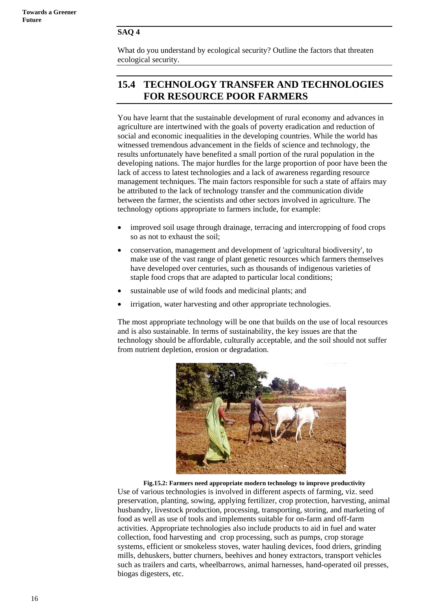#### **SAQ 4**

What do you understand by ecological security? Outline the factors that threaten ecological security.

### **15.4 TECHNOLOGY TRANSFER AND TECHNOLOGIES FOR RESOURCE POOR FARMERS**

You have learnt that the sustainable development of rural economy and advances in agriculture are intertwined with the goals of poverty eradication and reduction of social and economic inequalities in the developing countries. While the world has witnessed tremendous advancement in the fields of science and technology, the results unfortunately have benefited a small portion of the rural population in the developing nations. The major hurdles for the large proportion of poor have been the lack of access to latest technologies and a lack of awareness regarding resource management techniques. The main factors responsible for such a state of affairs may be attributed to the lack of technology transfer and the communication divide between the farmer, the scientists and other sectors involved in agriculture. The technology options appropriate to farmers include, for example:

- improved soil usage through drainage, terracing and intercropping of food crops so as not to exhaust the soil;
- conservation, management and development of 'agricultural biodiversity', to make use of the vast range of plant genetic resources which farmers themselves have developed over centuries, such as thousands of indigenous varieties of staple food crops that are adapted to particular local conditions;
- sustainable use of wild foods and medicinal plants; and
- irrigation, water harvesting and other appropriate technologies.

The most appropriate technology will be one that builds on the use of local resources and is also sustainable. In terms of sustainability, the key issues are that the technology should be affordable, culturally acceptable, and the soil should not suffer from nutrient depletion, erosion or degradation.



**Fig.15.2: Farmers need appropriate modern technology to improve productivity** Use of various technologies is involved in different aspects of farming, viz. seed preservation, planting, sowing, applying fertilizer, crop protection, harvesting, animal husbandry, livestock production, processing, transporting, storing, and marketing of food as well as use of tools and implements suitable for on-farm and off-farm activities. Appropriate technologies also include products to aid in fuel and water collection, food harvesting and crop processing, such as pumps, crop storage systems, efficient or smokeless stoves, water hauling devices, food driers, grinding mills, dehuskers, butter churners, beehives and honey extractors, transport vehicles such as trailers and carts, wheelbarrows, animal harnesses, hand-operated oil presses, biogas digesters, etc.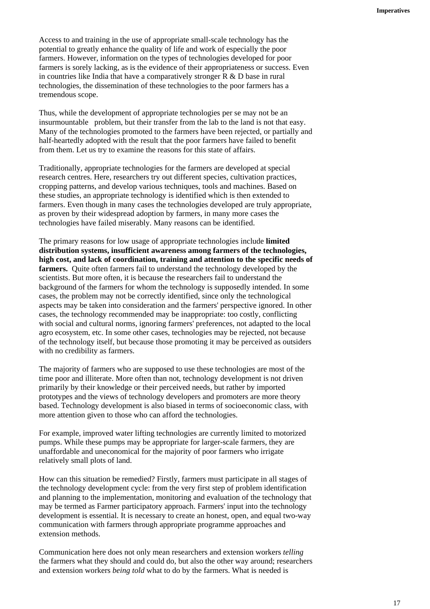Access to and training in the use of appropriate small-scale technology has the potential to greatly enhance the quality of life and work of especially the poor farmers. However, information on the types of technologies developed for poor farmers is sorely lacking, as is the evidence of their appropriateness or success. Even in countries like India that have a comparatively stronger R & D base in rural technologies, the dissemination of these technologies to the poor farmers has a tremendous scope.

Thus, while the development of appropriate technologies per se may not be an insurmountable problem, but their transfer from the lab to the land is not that easy. Many of the technologies promoted to the farmers have been rejected, or [partially](http://www.mirror.ac.cn/englishForAgriculture/lesson38/keyvoc38.htm) and [half-heartedly](http://www.mirror.ac.cn/englishForAgriculture/lesson38/keyvoc38.htm) adopted with the result that the poor farmers have failed to benefit from them. Let us try to examine the reasons for this state of affairs.

Traditionally, appropriate technologies for the farmers are developed at special research centres. Here, researchers try out different species, cultivation practices, cropping patterns, and develop various techniques, tools and machines. Based on these studies, an appropriate technology is identified which is then extended to farmers. Even though in many cases the technologies developed are truly appropriate, as proven by their widespread adoption by farmers, in many more cases the technologies have failed miserably. Many reasons can be identified.

The primary reasons for low usage of appropriate technologies include **limited distribution systems, insufficient awareness among farmers of the technologies, high cost, and lack of coordination, training and attention to the specific needs of farmers.** Quite often farmers fail to understand the technology developed by the scientists. But more often, it is because the researchers fail to understand the background of the farmers for whom the technology is supposedly intended. In some cases, the problem may not be correctly identified, since only the technological aspects may be taken into consideration and the farmers' perspective [ignored](http://www.mirror.ac.cn/englishForAgriculture/lesson38/keyvoc38.htm). In other cases, the technology recommended may be inappropriate: too [costly, conflicting](http://www.mirror.ac.cn/englishForAgriculture/lesson38/keyvoc38.htm) with social and cultural norms, ignoring farmers' preferences, not adapted to the local agro ecosystem, etc. In some other cases, technologies may be rejected, not because of the technology itself, but because those promoting it may be [perceived](http://www.mirror.ac.cn/englishForAgriculture/lesson38/keyvoc38.htm) as outsiders with no credibility as farmers.

The majority of farmers who are supposed to use these technologies are most of the time poor and illiterate. More often than not, technology development is not driven primarily by their knowledge or their perceived needs, but rather by imported prototypes and the views of technology developers and promoters are more theory based. Technology development is also biased in terms of socioeconomic class, with more attention given to those who can afford the technologies.

For example, improved water lifting technologies are currently limited to motorized pumps. While these pumps may be appropriate for larger-scale farmers, they are unaffordable and uneconomical for the majority of poor farmers who irrigate relatively small plots of land.

How can this situation be remedied? Firstly, farmers must participate in all stages of the technology development cycle: from the very first step of problem identification and planning to the implementation, monitoring and evaluation of the technology that may be termed as Farmer participatory approach. Farmers' input into the technology development is essential. It is necessary to create an honest, open, and equal two-way communication with farmers through appropriate programme approaches and extension methods.

Communication here does not only mean researchers and [extension](http://www.mirror.ac.cn/englishForAgriculture/lesson38/keyvoc38.htm) workers *telling*  the farmers what they should and could do, but also the other way around; researchers and extension workers *being told* what to do by the farmers. What is needed is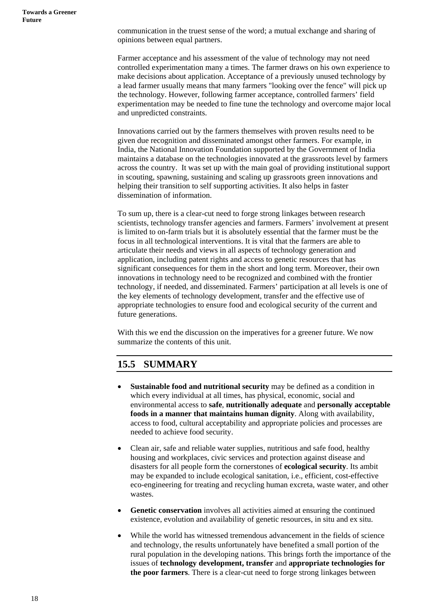communication in the truest sense of the word; a [mutual](http://www.mirror.ac.cn/englishForAgriculture/lesson38/keyvoc38.htm) exchange and sharing of opinions between equal partners.

Farmer acceptance and his assessment of the value of technology may not need controlled experimentation many a times. The farmer draws on his own experience to make decisions about application. Acceptance of a previously unused technology by a lead farmer usually means that many farmers "looking over the fence" will pick up the technology. However, following farmer acceptance, controlled farmers' field experimentation may be needed to fine tune the technology and overcome major local and unpredicted constraints.

Innovations carried out by the farmers themselves with proven results need to be given due recognition and disseminated amongst other farmers. For example, in India, the National Innovation Foundation supported by the Government of India maintains a database on the technologies innovated at the grassroots level by farmers across the country. It was set up with the main goal of providing institutional support in scouting, spawning, sustaining and scaling up grassroots green innovations and helping their transition to self supporting activities. It also helps in faster dissemination of information.

To sum up, there is a clear-cut need to forge strong linkages between research scientists, technology transfer agencies and farmers. Farmers' involvement at present is limited to on-farm trials but it is absolutely essential that the farmer must be the focus in all technological interventions. It is vital that the farmers are able to articulate their needs and views in all aspects of technology generation and application, including patent rights and access to genetic resources that has significant consequences for them in the short and long term. Moreover, their own innovations in technology need to be recognized and combined with the frontier technology, if needed, and disseminated. Farmers' participation at all levels is one of the key elements of technology development, transfer and the effective use of appropriate technologies to ensure food and ecological security of the current and future generations.

With this we end the discussion on the imperatives for a greener future. We now summarize the contents of this unit.

# **15.5 SUMMARY**

- **Sustainable food and nutritional security** may be defined as a condition in which every individual at all times, has physical, economic, social and environmental access to **safe**, **nutritionally adequate** and **personally acceptable foods in a manner that maintains human dignity**. Along with availability, access to food, cultural acceptability and appropriate policies and processes are needed to achieve food security.
- Clean air, safe and reliable water supplies, nutritious and safe food, healthy housing and workplaces, civic services and protection against disease and disasters for all people form the cornerstones of **ecological security**. Its ambit may be expanded to include ecological sanitation, i.e., efficient, cost-effective eco-engineering for treating and recycling human excreta, waste water, and other wastes.
- Genetic conservation involves all activities aimed at ensuring the continued existence, evolution and availability of genetic resources, in situ and ex situ.
- While the world has witnessed tremendous advancement in the fields of science and technology, the results unfortunately have benefited a small portion of the rural population in the developing nations. This brings forth the importance of the issues of **technology development, transfer** and **appropriate technologies for the poor farmers**. There is a clear-cut need to forge strong linkages between